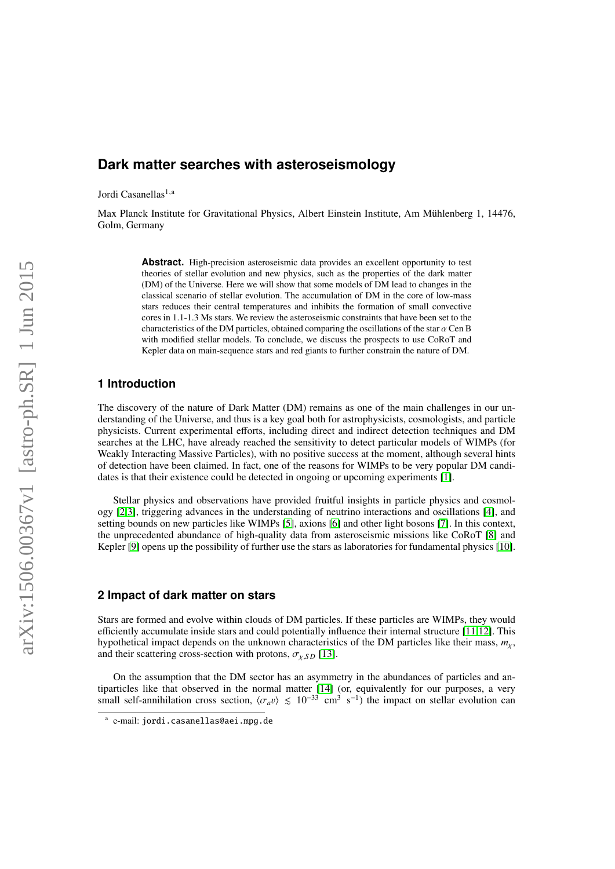# **Dark matter searches with asteroseismology**

Jordi Casanellas<sup>1,a</sup>

Max Planck Institute for Gravitational Physics, Albert Einstein Institute, Am Mühlenberg 1, 14476, Golm, Germany

> Abstract. High-precision asteroseismic data provides an excellent opportunity to test theories of stellar evolution and new physics, such as the properties of the dark matter (DM) of the Universe. Here we will show that some models of DM lead to changes in the classical scenario of stellar evolution. The accumulation of DM in the core of low-mass stars reduces their central temperatures and inhibits the formation of small convective cores in 1.1-1.3 Ms stars. We review the asteroseismic constraints that have been set to the characteristics of the DM particles, obtained comparing the oscillations of the star  $\alpha$  Cen B with modified stellar models. To conclude, we discuss the prospects to use CoRoT and Kepler data on main-sequence stars and red giants to further constrain the nature of DM.

# **1 Introduction**

The discovery of the nature of Dark Matter (DM) remains as one of the main challenges in our understanding of the Universe, and thus is a key goal both for astrophysicists, cosmologists, and particle physicists. Current experimental efforts, including direct and indirect detection techniques and DM searches at the LHC, have already reached the sensitivity to detect particular models of WIMPs (for Weakly Interacting Massive Particles), with no positive success at the moment, although several hints of detection have been claimed. In fact, one of the reasons for WIMPs to be very popular DM candidates is that their existence could be detected in ongoing or upcoming experiments [\[1\]](#page-2-0).

Stellar physics and observations have provided fruitful insights in particle physics and cosmology [\[2](#page-2-1)[,3\]](#page-2-2), triggering advances in the understanding of neutrino interactions and oscillations [\[4\]](#page-2-3), and setting bounds on new particles like WIMPs [\[5\]](#page-3-0), axions [\[6\]](#page-3-1) and other light bosons [\[7\]](#page-3-2). In this context, the unprecedented abundance of high-quality data from asteroseismic missions like CoRoT [\[8\]](#page-3-3) and Kepler [\[9\]](#page-3-4) opens up the possibility of further use the stars as laboratories for fundamental physics [\[10\]](#page-3-5).

#### **2 Impact of dark matter on stars**

Stars are formed and evolve within clouds of DM particles. If these particles are WIMPs, they would efficiently accumulate inside stars and could potentially influence their internal structure [\[11](#page-3-6)[,12\]](#page-3-7). This hypothetical impact depends on the unknown characteristics of the DM particles like their mass, *<sup>m</sup>*χ, and their scattering cross-section with protons,  $\sigma_{\chi,SD}$  [\[13\]](#page-3-8).

On the assumption that the DM sector has an asymmetry in the abundances of particles and antiparticles like that observed in the normal matter [\[14\]](#page-3-9) (or, equivalently for our purposes, a very small self-annihilation cross section,  $\langle \sigma_a v \rangle \le 10^{-33}$  cm<sup>3</sup> s<sup>-1</sup>) the impact on stellar evolution can

a e-mail: jordi.casanellas@aei.mpg.de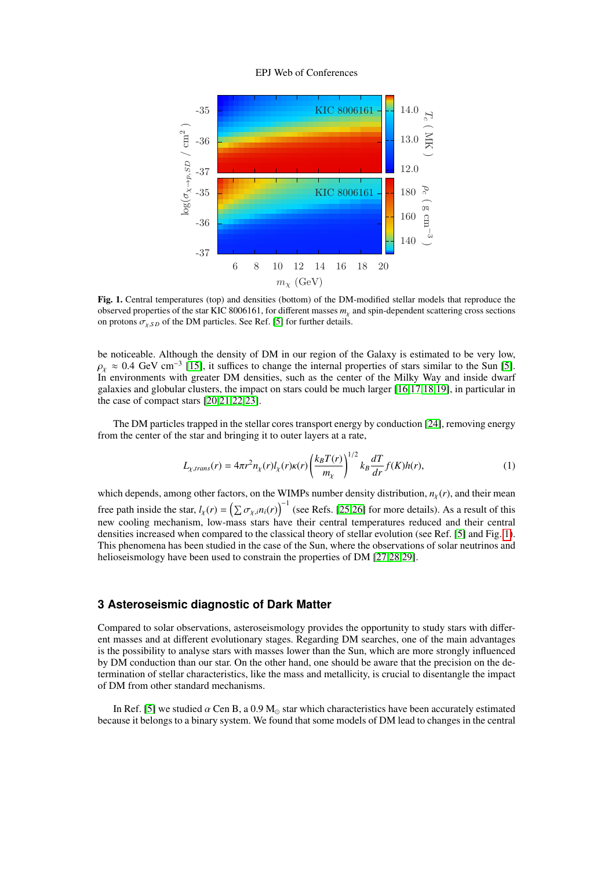#### EPJ Web of Conferences



<span id="page-1-0"></span>Fig. 1. Central temperatures (top) and densities (bottom) of the DM-modified stellar models that reproduce the observed properties of the star KIC 8006161, for different masses *<sup>m</sup>*χ and spin-dependent scattering cross sections on protons  $\sigma_{\nu,SD}$  of the DM particles. See Ref. [\[5\]](#page-3-0) for further details.

be noticeable. Although the density of DM in our region of the Galaxy is estimated to be very low,  $\rho_X \approx 0.4$  GeV cm<sup>-3</sup> [\[15\]](#page-3-10), it suffices to change the internal properties of stars similar to the Sun [\[5\]](#page-3-0).<br>In environments with greater DM densities, such as the center of the Milky Way and inside dwarf In environments with greater DM densities, such as the center of the Milky Way and inside dwarf galaxies and globular clusters, the impact on stars could be much larger [\[16](#page-3-11)[,17](#page-3-12)[,18](#page-3-13)[,19\]](#page-3-14), in particular in the case of compact stars [\[20,](#page-3-15)[21](#page-3-16)[,22](#page-3-17)[,23\]](#page-3-18).

The DM particles trapped in the stellar cores transport energy by conduction [\[24\]](#page-3-19), removing energy from the center of the star and bringing it to outer layers at a rate,

$$
L_{\chi,trans}(r) = 4\pi r^2 n_{\chi}(r) l_{\chi}(r) \kappa(r) \left(\frac{k_B T(r)}{m_{\chi}}\right)^{1/2} k_B \frac{dT}{dr} f(K) h(r),\tag{1}
$$

which depends, among other factors, on the WIMPs number density distribution,  $n<sub>X</sub>(r)$ , and their mean free path inside the star,  $l_{\chi}(r) = (\sum \sigma_{\chi,i} n_i(r))^{-1}$  (see Refs. [\[25,](#page-3-20)[26\]](#page-3-21) for more details). As a result of this new cooling mechanism, low-mass stars have their central temperatures reduced and their central densities increased when compared to the classical theory of stellar evolution (see Ref. [\[5\]](#page-3-0) and Fig. [1\)](#page-1-0). This phenomena has been studied in the case of the Sun, where the observations of solar neutrinos and helioseismology have been used to constrain the properties of DM [\[27](#page-3-22)[,28](#page-3-23)[,29\]](#page-3-24).

## **3 Asteroseismic diagnostic of Dark Matter**

Compared to solar observations, asteroseismology provides the opportunity to study stars with different masses and at different evolutionary stages. Regarding DM searches, one of the main advantages is the possibility to analyse stars with masses lower than the Sun, which are more strongly influenced by DM conduction than our star. On the other hand, one should be aware that the precision on the determination of stellar characteristics, like the mass and metallicity, is crucial to disentangle the impact of DM from other standard mechanisms.

In Ref. [\[5\]](#page-3-0) we studied  $\alpha$  Cen B, a 0.9 M<sub>o</sub> star which characteristics have been accurately estimated because it belongs to a binary system. We found that some models of DM lead to changes in the central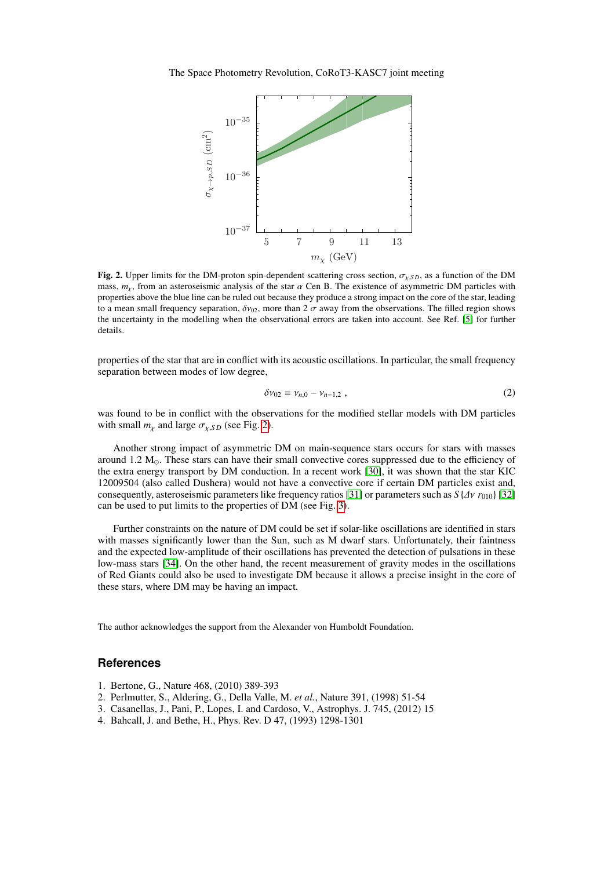The Space Photometry Revolution, CoRoT3-KASC7 joint meeting



<span id="page-2-4"></span>Fig. 2. Upper limits for the DM-proton spin-dependent scattering cross section,  $\sigma_{\gamma,SD}$ , as a function of the DM mass,  $m<sub>x</sub>$ , from an asteroseismic analysis of the star  $\alpha$  Cen B. The existence of asymmetric DM particles with properties above the blue line can be ruled out because they produce a strong impact on the core of the star, leading to a mean small frequency separation,  $\delta v_{02}$ , more than  $2 \sigma$  away from the observations. The filled region shows the uncertainty in the modelling when the observational errors are taken into account. See Ref. [\[5\]](#page-3-0) for further details.

properties of the star that are in conflict with its acoustic oscillations. In particular, the small frequency separation between modes of low degree,

$$
\delta v_{02} = v_{n,0} - v_{n-1,2} \tag{2}
$$

was found to be in conflict with the observations for the modified stellar models with DM particles with small  $m<sub>x</sub>$  and large  $\sigma<sub>x,SD</sub>$  (see Fig. [2\)](#page-2-4).

Another strong impact of asymmetric DM on main-sequence stars occurs for stars with masses around 1.2  $M_{\odot}$ . These stars can have their small convective cores suppressed due to the efficiency of the extra energy transport by DM conduction. In a recent work [\[30\]](#page-3-25), it was shown that the star KIC 12009504 (also called Dushera) would not have a convective core if certain DM particles exist and, consequently, asteroseismic parameters like frequency ratios [\[31\]](#page-3-26) or parameters such as  $S\{\Delta v\ r_{010}\}$  [\[32\]](#page-3-27) can be used to put limits to the properties of DM (see Fig. [3\)](#page-3-28).

Further constraints on the nature of DM could be set if solar-like oscillations are identified in stars with masses significantly lower than the Sun, such as M dwarf stars. Unfortunately, their faintness and the expected low-amplitude of their oscillations has prevented the detection of pulsations in these low-mass stars [\[34\]](#page-3-29). On the other hand, the recent measurement of gravity modes in the oscillations of Red Giants could also be used to investigate DM because it allows a precise insight in the core of these stars, where DM may be having an impact.

The author acknowledges the support from the Alexander von Humboldt Foundation.

## **References**

- <span id="page-2-0"></span>1. Bertone, G., Nature 468, (2010) 389-393
- <span id="page-2-1"></span>2. Perlmutter, S., Aldering, G., Della Valle, M. *et al.*, Nature 391, (1998) 51-54
- <span id="page-2-2"></span>3. Casanellas, J., Pani, P., Lopes, I. and Cardoso, V., Astrophys. J. 745, (2012) 15
- <span id="page-2-3"></span>4. Bahcall, J. and Bethe, H., Phys. Rev. D 47, (1993) 1298-1301